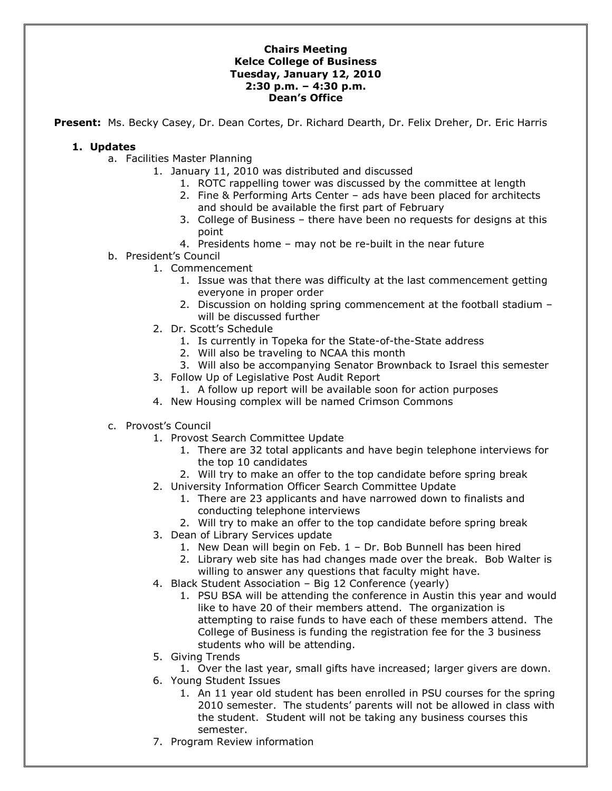#### **Chairs Meeting Kelce College of Business Tuesday, January 12, 2010 2:30 p.m. – 4:30 p.m. Dean's Office**

**Present:** Ms. Becky Casey, Dr. Dean Cortes, Dr. Richard Dearth, Dr. Felix Dreher, Dr. Eric Harris

### **1. Updates**

- a. Facilities Master Planning
	- 1. January 11, 2010 was distributed and discussed
		- 1. ROTC rappelling tower was discussed by the committee at length
		- 2. Fine & Performing Arts Center ads have been placed for architects and should be available the first part of February
		- 3. College of Business there have been no requests for designs at this point
		- 4. Presidents home may not be re-built in the near future
- b. President's Council
	- 1. Commencement
		- 1. Issue was that there was difficulty at the last commencement getting everyone in proper order
		- 2. Discussion on holding spring commencement at the football stadium will be discussed further
	- 2. Dr. Scott's Schedule
		- 1. Is currently in Topeka for the State-of-the-State address
		- 2. Will also be traveling to NCAA this month
		- 3. Will also be accompanying Senator Brownback to Israel this semester
	- 3. Follow Up of Legislative Post Audit Report
		- 1. A follow up report will be available soon for action purposes
	- 4. New Housing complex will be named Crimson Commons
- c. Provost's Council
	- 1. Provost Search Committee Update
		- 1. There are 32 total applicants and have begin telephone interviews for the top 10 candidates
		- 2. Will try to make an offer to the top candidate before spring break
	- 2. University Information Officer Search Committee Update
		- 1. There are 23 applicants and have narrowed down to finalists and conducting telephone interviews
		- 2. Will try to make an offer to the top candidate before spring break
	- 3. Dean of Library Services update
		- 1. New Dean will begin on Feb. 1 Dr. Bob Bunnell has been hired
		- 2. Library web site has had changes made over the break. Bob Walter is willing to answer any questions that faculty might have.
	- 4. Black Student Association Big 12 Conference (yearly)
		- 1. PSU BSA will be attending the conference in Austin this year and would like to have 20 of their members attend. The organization is attempting to raise funds to have each of these members attend. The College of Business is funding the registration fee for the 3 business students who will be attending.
	- 5. Giving Trends
		- 1. Over the last year, small gifts have increased; larger givers are down.
	- 6. Young Student Issues
		- 1. An 11 year old student has been enrolled in PSU courses for the spring 2010 semester. The students' parents will not be allowed in class with the student. Student will not be taking any business courses this semester.
	- 7. Program Review information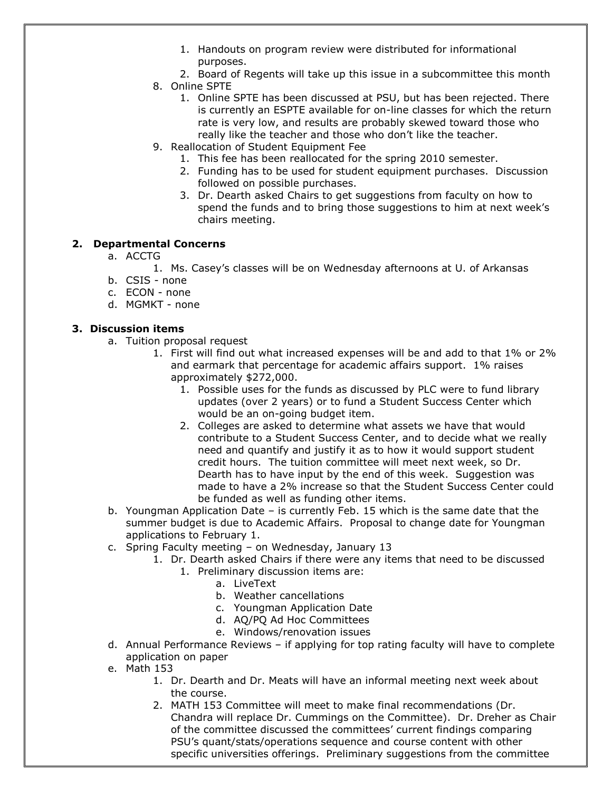- 1. Handouts on program review were distributed for informational purposes.
- 2. Board of Regents will take up this issue in a subcommittee this month
- 8. Online SPTE
	- 1. Online SPTE has been discussed at PSU, but has been rejected. There is currently an ESPTE available for on-line classes for which the return rate is very low, and results are probably skewed toward those who really like the teacher and those who don't like the teacher.
- 9. Reallocation of Student Equipment Fee
	- 1. This fee has been reallocated for the spring 2010 semester.
	- 2. Funding has to be used for student equipment purchases. Discussion followed on possible purchases.
	- 3. Dr. Dearth asked Chairs to get suggestions from faculty on how to spend the funds and to bring those suggestions to him at next week's chairs meeting.

# **2. Departmental Concerns**

- a. ACCTG
	- 1. Ms. Casey's classes will be on Wednesday afternoons at U. of Arkansas
- b. CSIS none
- c. ECON none
- d. MGMKT none

# **3. Discussion items**

- a. Tuition proposal request
	- 1. First will find out what increased expenses will be and add to that 1% or 2% and earmark that percentage for academic affairs support. 1% raises approximately \$272,000.
		- 1. Possible uses for the funds as discussed by PLC were to fund library updates (over 2 years) or to fund a Student Success Center which would be an on-going budget item.
		- 2. Colleges are asked to determine what assets we have that would contribute to a Student Success Center, and to decide what we really need and quantify and justify it as to how it would support student credit hours. The tuition committee will meet next week, so Dr. Dearth has to have input by the end of this week. Suggestion was made to have a 2% increase so that the Student Success Center could be funded as well as funding other items.
- b. Youngman Application Date is currently Feb. 15 which is the same date that the summer budget is due to Academic Affairs. Proposal to change date for Youngman applications to February 1.
- c. Spring Faculty meeting on Wednesday, January 13
	- 1. Dr. Dearth asked Chairs if there were any items that need to be discussed
		- 1. Preliminary discussion items are:
			- a. LiveText
			- b. Weather cancellations
			- c. Youngman Application Date
			- d. AQ/PQ Ad Hoc Committees
			- e. Windows/renovation issues
- d. Annual Performance Reviews if applying for top rating faculty will have to complete application on paper
- e. Math 153
	- 1. Dr. Dearth and Dr. Meats will have an informal meeting next week about the course.
	- 2. MATH 153 Committee will meet to make final recommendations (Dr. Chandra will replace Dr. Cummings on the Committee). Dr. Dreher as Chair of the committee discussed the committees' current findings comparing PSU's quant/stats/operations sequence and course content with other specific universities offerings. Preliminary suggestions from the committee